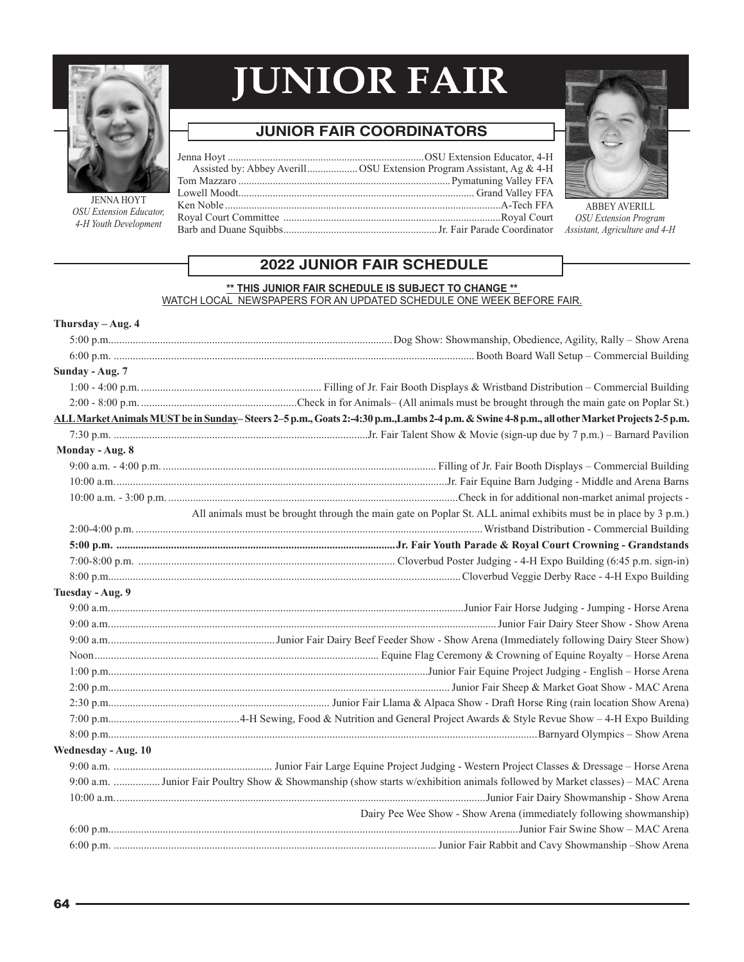

JENNA HOYT *OSU Extension Educator, 4-H Youth Development*

# **JUNIOR FAIR**

# **JUNIOR FAIR COORDINATORS**

| <b>Buck</b> |  |  |
|-------------|--|--|
|             |  |  |
|             |  |  |
|             |  |  |
| r,          |  |  |
|             |  |  |



ABBEY AVERILL *OSU Extension Program Assistant, Agriculture and 4-H*

## **2022 JUNIOR FAIR SCHEDULE**

#### **\*\* THIS JUNIOR FAIR SCHEDULE IS SUBJECT TO CHANGE \*\***  WATCH LOCAL NEWSPAPERS FOR AN UPDATED SCHEDULE ONE WEEK BEFORE FAIR.

| ALL Market Animals MUST be in Sunday-Steers 2-5 p.m., Goats 2:-4:30 p.m., Lambs 2-4 p.m. & Swine 4-8 p.m., all other Market Projects 2-5 p.m. |
|-----------------------------------------------------------------------------------------------------------------------------------------------|
|                                                                                                                                               |
|                                                                                                                                               |
|                                                                                                                                               |
|                                                                                                                                               |
|                                                                                                                                               |
| All animals must be brought through the main gate on Poplar St. ALL animal exhibits must be in place by 3 p.m.)                               |
|                                                                                                                                               |
|                                                                                                                                               |
|                                                                                                                                               |
|                                                                                                                                               |
|                                                                                                                                               |
|                                                                                                                                               |
|                                                                                                                                               |
|                                                                                                                                               |
|                                                                                                                                               |
|                                                                                                                                               |
|                                                                                                                                               |
|                                                                                                                                               |
|                                                                                                                                               |
|                                                                                                                                               |
|                                                                                                                                               |
|                                                                                                                                               |
| 9:00 a.m. Junior Fair Poultry Show & Showmanship (show starts w/exhibition animals followed by Market classes) - MAC Arena                    |
|                                                                                                                                               |
| Dairy Pee Wee Show - Show Arena (immediately following showmanship)                                                                           |
|                                                                                                                                               |
|                                                                                                                                               |
|                                                                                                                                               |